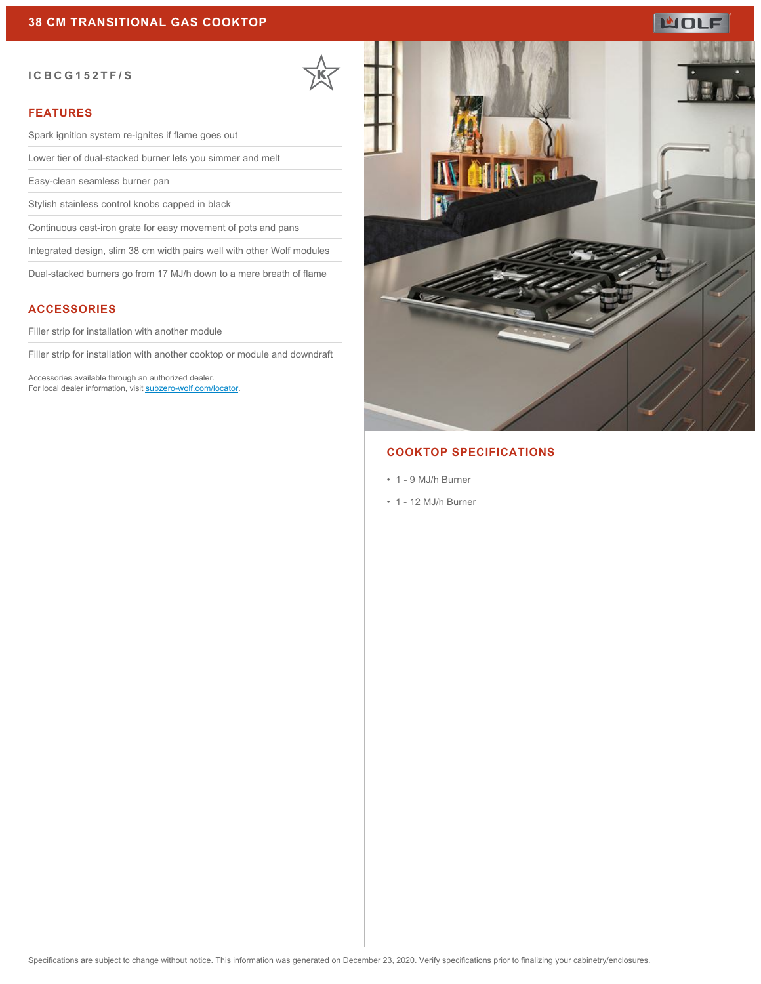# **MOLF**

#### **ICBCG152TF/S**

### **FEATURES**

Spark ignition system re-ignites if flame goes out

Lower tier of dual-stacked burner lets you simmer and melt

Easy-clean seamless burner pan

Stylish stainless control knobs capped in black

Continuous cast-iron grate for easy movement of pots and pans

Integrated design, slim 38 cm width pairs well with other Wolf modules

Dual-stacked burners go from 17 MJ/h down to a mere breath of flame

### **ACCESSORIES**

Filler strip for installation with another module

Filler strip for installation with another cooktop or module and downdraft

Accessories available through an authorized dealer. For local dealer information, visit [subzero-wolf.com/locator.](http://www.subzero-wolf.com/locator)



### **COOKTOP SPECIFICATIONS**

- 1 9 MJ/h Burner
- 1 12 MJ/h Burner